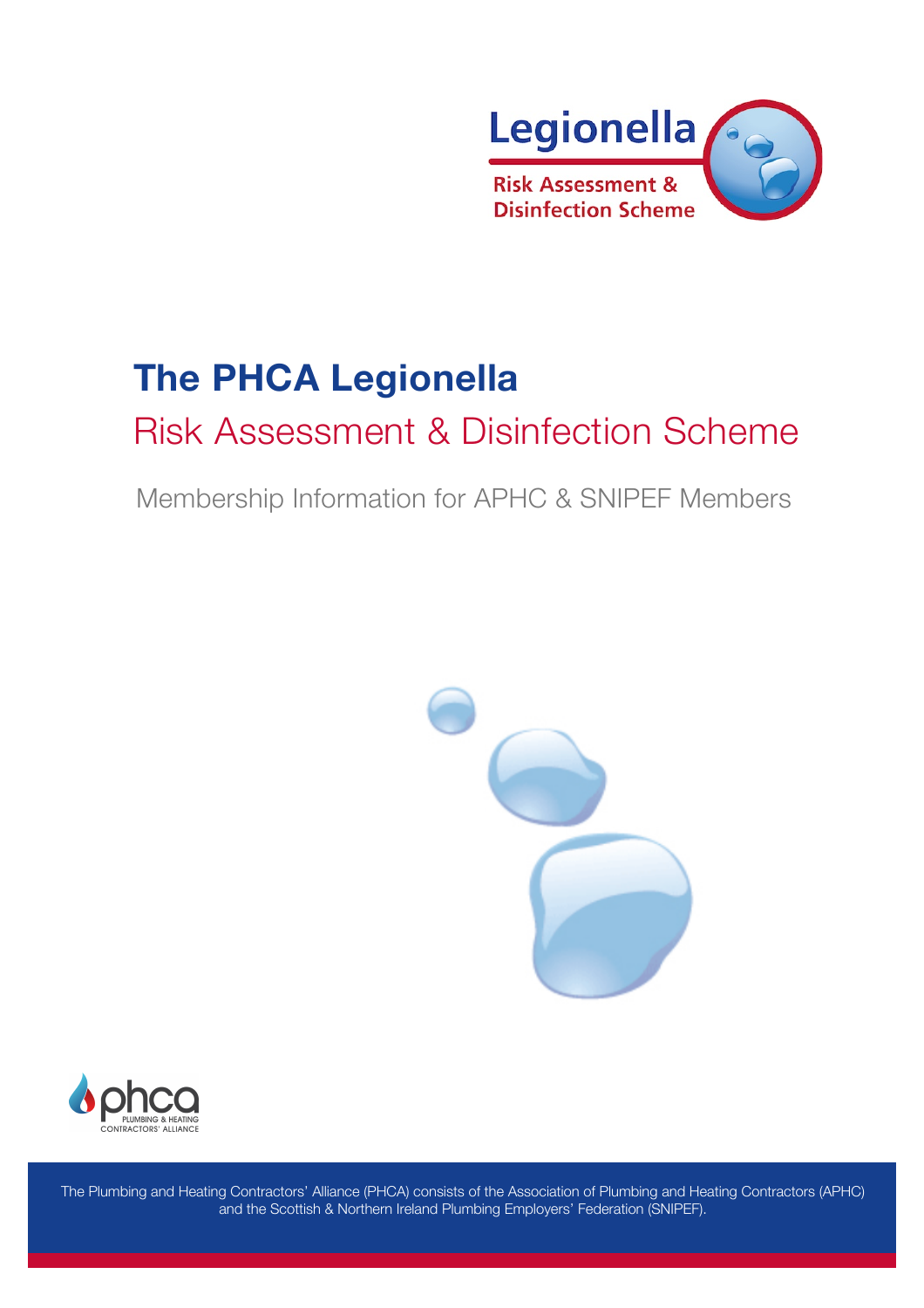

# **The PHCA Legionella**

## Risk Assessment & Disinfection Scheme

Membership Information for APHC & SNIPEF Members





The Plumbing and Heating Contractors' Alliance (PHCA) consists of the Association of Plumbing and Heating Contractors (APHC) and the Scottish & Northern Ireland Plumbing Employers' Federation (SNIPEF).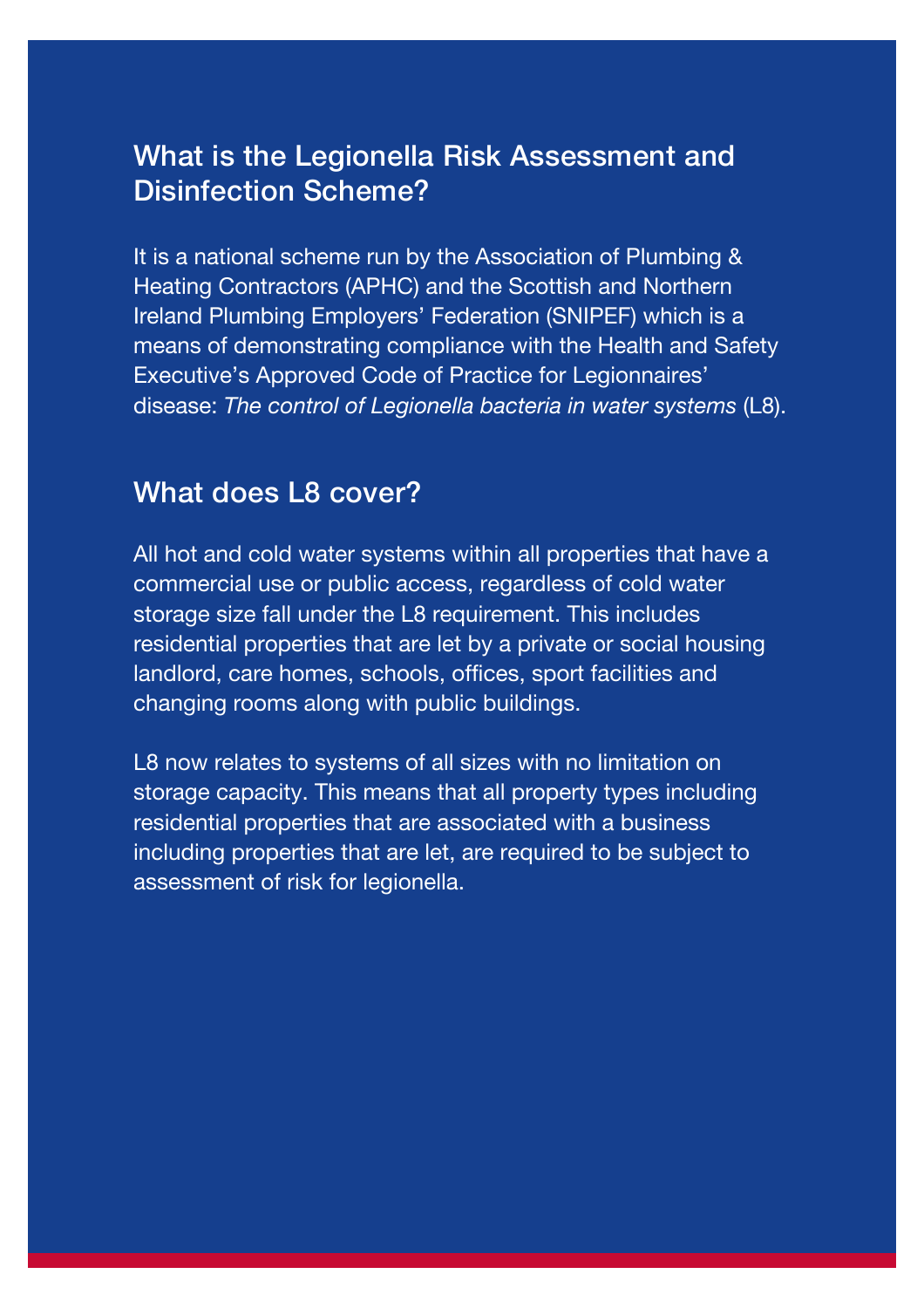#### What is the Legionella Risk Assessment and Disinfection Scheme?

It is a national scheme run by the Association of Plumbing & Heating Contractors (APHC) and the Scottish and Northern Ireland Plumbing Employers' Federation (SNIPEF) which is a means of demonstrating compliance with the Health and Safety Executive's Approved Code of Practice for Legionnaires' disease: *The control of Legionella bacteria in water systems* (L8).

#### What does L8 cover?

All hot and cold water systems within all properties that have a commercial use or public access, regardless of cold water storage size fall under the L8 requirement. This includes residential properties that are let by a private or social housing landlord, care homes, schools, offices, sport facilities and changing rooms along with public buildings.

L8 now relates to systems of all sizes with no limitation on storage capacity. This means that all property types including residential properties that are associated with a business including properties that are let, are required to be subject to assessment of risk for legionella.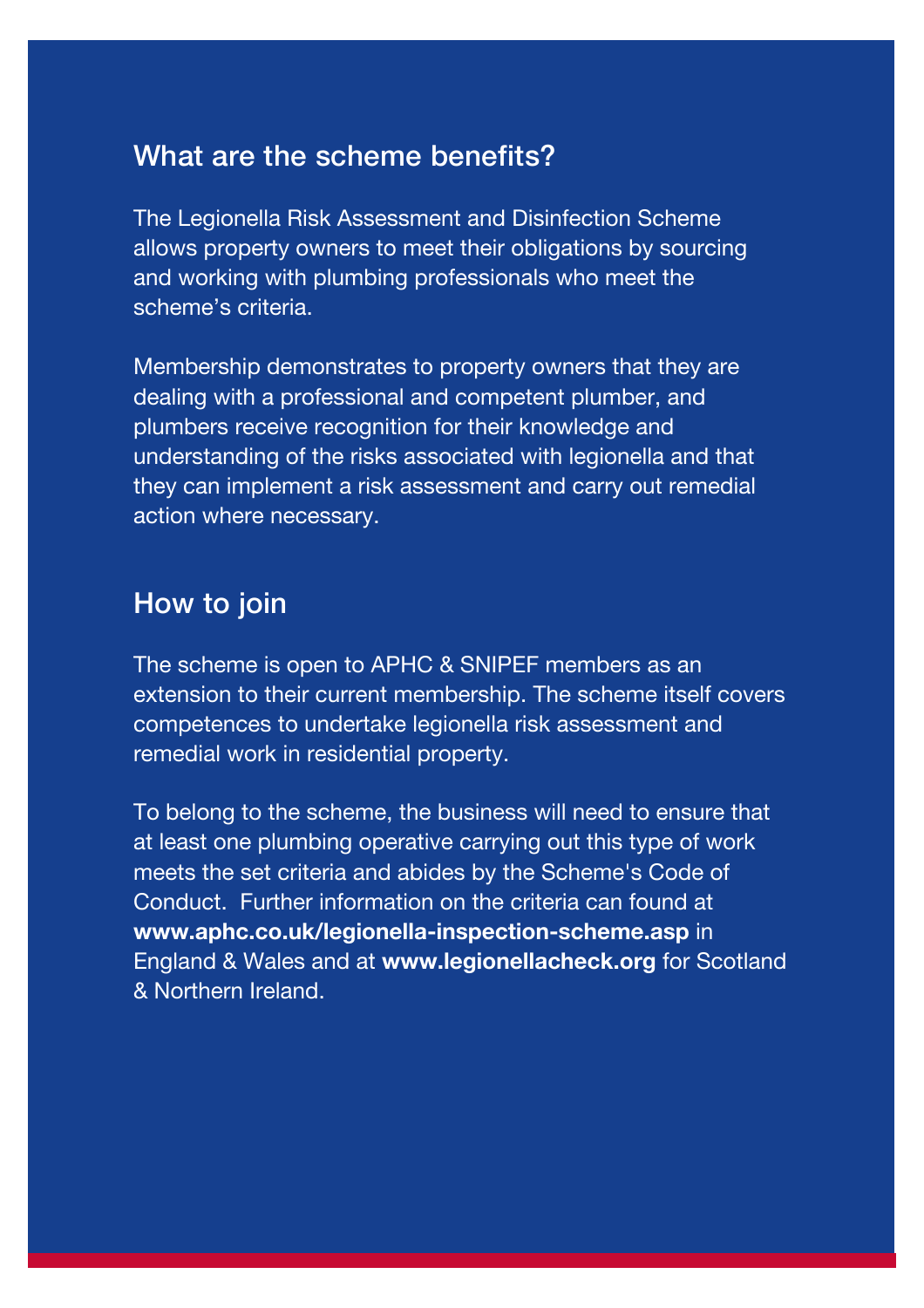#### What are the scheme benefits?

The Legionella Risk Assessment and Disinfection Scheme allows property owners to meet their obligations by sourcing and working with plumbing professionals who meet the scheme's criteria.

Membership demonstrates to property owners that they are dealing with a professional and competent plumber, and plumbers receive recognition for their knowledge and understanding of the risks associated with legionella and that they can implement a risk assessment and carry out remedial action where necessary.

#### How to join

The scheme is open to APHC & SNIPEF members as an extension to their current membership. The scheme itself covers competences to undertake legionella risk assessment and remedial work in residential property.

To belong to the scheme, the business will need to ensure that at least one plumbing operative carrying out this type of work meets the set criteria and abides by the Scheme's Code of Conduct. Further information on the criteria can found at **www.aphc.co.uk/legionella-inspection-scheme.asp** in England & Wales and at **www.legionellacheck.org** for Scotland & Northern Ireland.